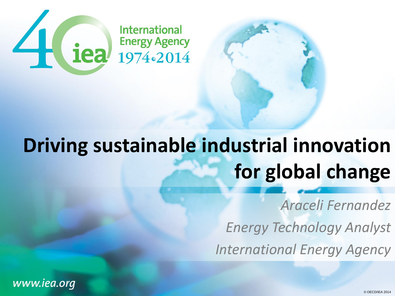

# **Driving sustainable industrial innovation for global change**

*Araceli Fernandez Energy Technology Analyst International Energy Agency*

www.iea.org

© OECD/IEA 2014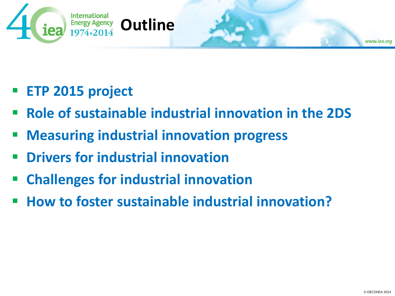

- **ETP 2015 project**
- **Role of sustainable industrial innovation in the 2DS**
- **Measuring industrial innovation progress**
- **Drivers for industrial innovation**
- **Challenges for industrial innovation**
- **How to foster sustainable industrial innovation?**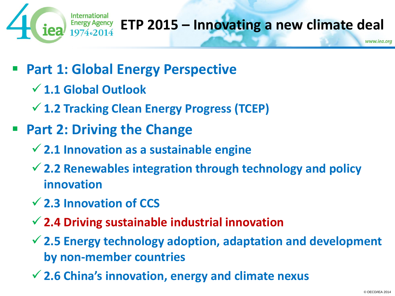

### **ETP 2015 – Innovating a new climate deal**

- **Part 1: Global Energy Perspective**
	- **1.1 Global Outlook**
	- **1.2 Tracking Clean Energy Progress (TCEP)**
- **Part 2: Driving the Change**
	- **2.1 Innovation as a sustainable engine**
	- **2.2 Renewables integration through technology and policy innovation**
	- **2.3 Innovation of CCS**
	- **2.4 Driving sustainable industrial innovation**
	- **2.5 Energy technology adoption, adaptation and development by non-member countries**
	- **2.6 China's innovation, energy and climate nexus**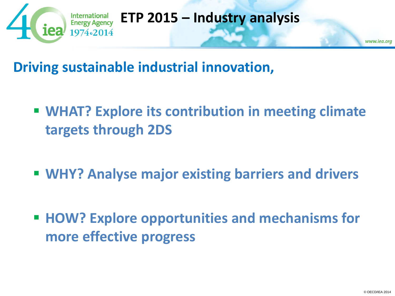

#### **ETP 2015 – Industry analysis**

www.iea.org

**Driving sustainable industrial innovation,**

- **WHAT? Explore its contribution in meeting climate targets through 2DS**
- **WHY? Analyse major existing barriers and drivers**
- **HOW? Explore opportunities and mechanisms for more effective progress**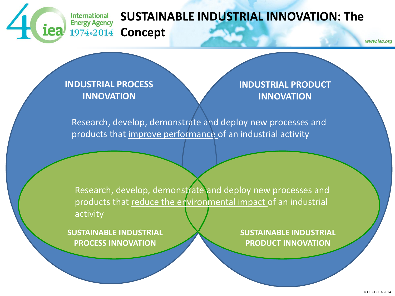

#### **SUSTAINABLE INDUSTRIAL INNOVATION: The Concept**

**INDUSTRIAL PROCESS INNOVATION**

**INDUSTRIAL PRODUCT INNOVATION**

Research, develop, demonstrate and deploy new processes and products that improve performance of an industrial activity

Research, develop, demonstrate and deploy new processes and products that reduce the environmental impact of an industrial activity

**SUSTAINABLE INDUSTRIAL PROCESS INNOVATION**

**SUSTAINABLE INDUSTRIAL PRODUCT INNOVATION**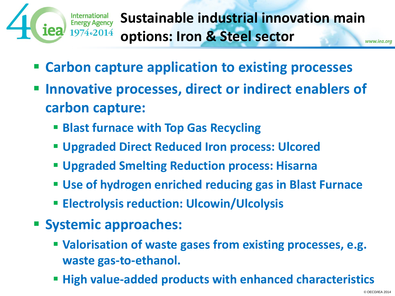

**Sustainable industrial innovation main options: Iron & Steel sector**www.iea.org

- **Carbon capture application to existing processes**
- **Innovative processes, direct or indirect enablers of carbon capture:**
	- **Blast furnace with Top Gas Recycling**
	- **Upgraded Direct Reduced Iron process: Ulcored**
	- **Upgraded Smelting Reduction process: Hisarna**
	- **Use of hydrogen enriched reducing gas in Blast Furnace**
	- **Electrolysis reduction: Ulcowin/Ulcolysis**
- **Systemic approaches:**
	- **Valorisation of waste gases from existing processes, e.g. waste gas-to-ethanol.**
	- **High value-added products with enhanced characteristics**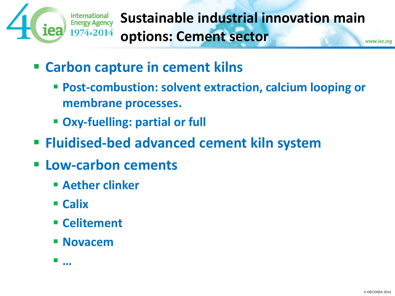

- **Carbon capture in cement kilns**
	- **Post-combustion: solvent extraction, calcium looping or membrane processes.**
	- **Oxy-fuelling: partial or full**
- **Fluidised-bed advanced cement kiln system**
- **Low-carbon cements**
	- **Aether clinker**
	- **Calix**
	- **Celitement**
	- **Novacem**

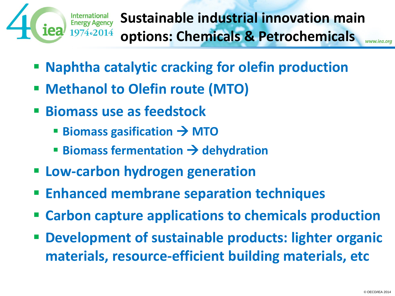

**Sustainable industrial innovation main options: Chemicals & Petrochemicals**www.iea.ord

- **Naphtha catalytic cracking for olefin production**
- **EXECUTE: Methanol to Olefin route (MTO)**
- **Biomass use as feedstock**
	- Biomass gasification → MTO
	- **Biomass fermentation**  $\rightarrow$  **dehydration**
- **Low-carbon hydrogen generation**
- **Enhanced membrane separation techniques**
- **Carbon capture applications to chemicals production**
- **Development of sustainable products: lighter organic materials, resource-efficient building materials, etc**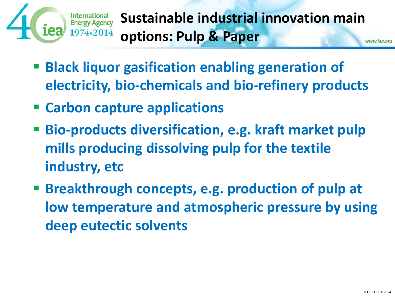

**Sustainable industrial innovation main options: Pulp & Paper**www.iea.org

- **Black liquor gasification enabling generation of electricity, bio-chemicals and bio-refinery products**
- **Carbon capture applications**
- **Bio-products diversification, e.g. kraft market pulp mills producing dissolving pulp for the textile industry, etc**
- **Breakthrough concepts, e.g. production of pulp at low temperature and atmospheric pressure by using deep eutectic solvents**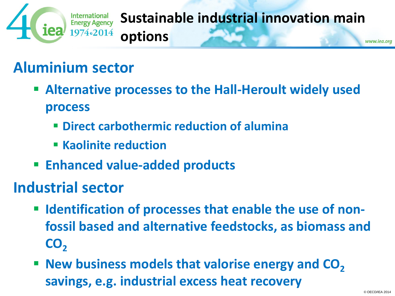

#### **Sustainable industrial innovation main options**www.iea.org

## **Aluminium sector**

- **Alternative processes to the Hall-Heroult widely used process**
	- **Direct carbothermic reduction of alumina**
	- **Kaolinite reduction**
- **Enhanced value-added products**

#### **Industrial sector**

- **E** Identification of processes that enable the use of non**fossil based and alternative feedstocks, as biomass and CO<sup>2</sup>**
- **New business models that valorise energy and CO<sub>2</sub> savings, e.g. industrial excess heat recovery**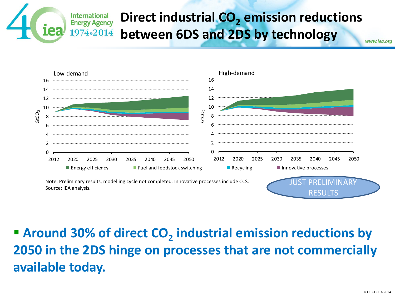#### **Direct industrial CO<sup>2</sup> emission reductions**  International **Energy Agency between 6DS and 2DS by technology** 1974.2014 www.iea.org



### **Around 30% of direct CO<sup>2</sup> industrial emission reductions by 2050 in the 2DS hinge on processes that are not commercially available today.**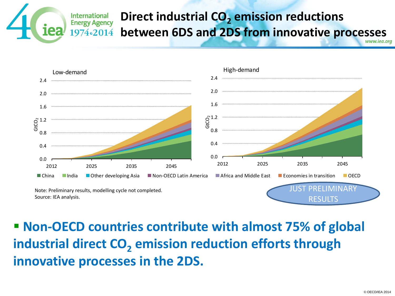#### **Direct industrial CO<sup>2</sup> emission reductions International Energy Agency between 6DS and 2DS from innovative processes** 1974.2014



### **Non-OECD countries contribute with almost 75% of global industrial direct CO<sup>2</sup> emission reduction efforts through innovative processes in the 2DS.**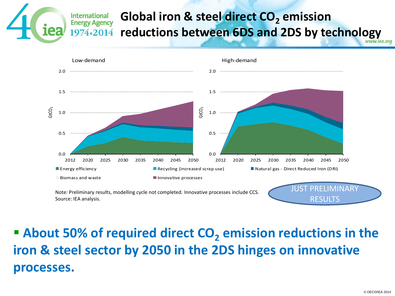#### **Global iron & steel direct CO<sup>2</sup> emission International Energy Agency reductions between 6DS and 2DS by technology** 1974.2014



### ■ About 50% of required direct CO<sub>2</sub> emission reductions in the **iron & steel sector by 2050 in the 2DS hinges on innovative processes.**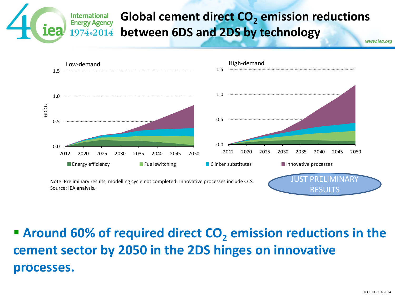#### **Global cement direct CO<sup>2</sup> emission reductions Energy Agency between 6DS and 2DS by technology** 1974.2014 www.iea.org

Note: Preliminary results, modelling cycle not completed. Innovative processes include CCS. Source: IEA analysis. JUST PRELIMINARY RESULTS 0.0 0.5 1.0 ...... 1.5 ..... <sup>2012</sup> <sup>2020</sup> <sup>2025</sup> <sup>2030</sup> <sup>2035</sup> <sup>2040</sup> <sup>2045</sup> <sup>2050</sup> GtCO<sup>2</sup> Low-demand **Energy efficiency Fuel switching Fuel Solution Clinker substitutes Innovative processes** 0.0  $0.5 -$ 1.0 ..... 1.5 ........ 2012 2020 2025 2030 2035 2040 2045 2050 High-demand

**International** 

### ■ Around 60% of required direct CO<sub>2</sub> emission reductions in the **cement sector by 2050 in the 2DS hinges on innovative processes.**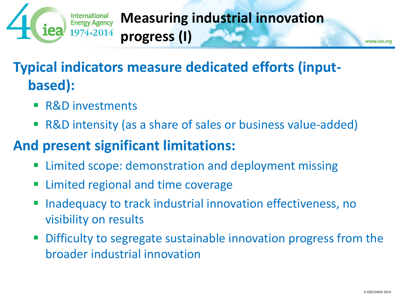

### **Measuring industrial innovation progress (I)**

www.iea.org

## **Typical indicators measure dedicated efforts (inputbased):**

- R&D investments
- R&D intensity (as a share of sales or business value-added)

### **And present significant limitations:**

- Limited scope: demonstration and deployment missing
- Limited regional and time coverage
- Inadequacy to track industrial innovation effectiveness, no visibility on results
- Difficulty to segregate sustainable innovation progress from the broader industrial innovation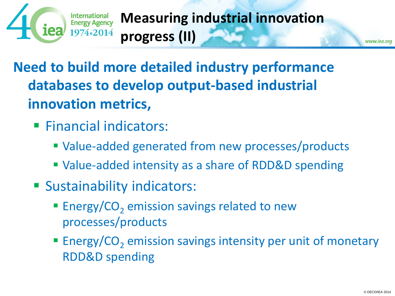

**Measuring industrial innovation progress (II)**

**Need to build more detailed industry performance databases to develop output-based industrial innovation metrics,**

- **Financial indicators:** 
	- Value-added generated from new processes/products
	- Value-added intensity as a share of RDD&D spending
- **Sustainability indicators:** 
	- **Energy/CO<sub>2</sub>** emission savings related to new processes/products
	- **Energy/CO<sub>2</sub>** emission savings intensity per unit of monetary RDD&D spending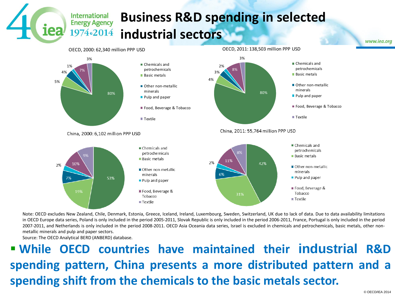#### **Business R&D spending in selected industrial sectors** 1974.2014



Note: OECD excludes New Zealand, Chile, Denmark, Estonia, Greece, Iceland, Ireland, Luxembourg, Sweden, Switzerland, UK due to lack of data. Due to data availability limitations in OECD Europe data series, Poland is only included in the period 2005-2011, Slovak Republic is only included in the period 2006-2011, France, Portugal is only included in the period 2007-2011, and Netherlands is only included in the period 2008-2011. OECD Asia Oceania data series, Israel is excluded in chemicals and petrochemicals, basic metals, other nonmetallic minerals and pulp and paper sectors.

Source: The OECD Analytical BERD (ANBERD) database.

**International Energy Agency** 

 **While OECD countries have maintained their industrial R&D spending pattern, China presents a more distributed pattern and a spending shift from the chemicals to the basic metals sector.**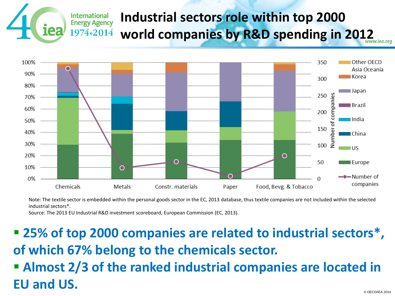#### **Industrial sectors role within top 2000**  International **Energy Agency world companies by R&D spending in 2012** 1974.2014



Note: The textile sector is embedded within the personal goods sector in the EC, 2013 database, thus textile companies are not included within the selected industrial sectors\*.

Source: The 2013 EU Industrial R&D investment scoreboard, European Commission (EC, 2013).

 **25% of top 2000 companies are related to industrial sectors\*, of which 67% belong to the chemicals sector. Almost 2/3 of the ranked industrial companies are located in EU and US.**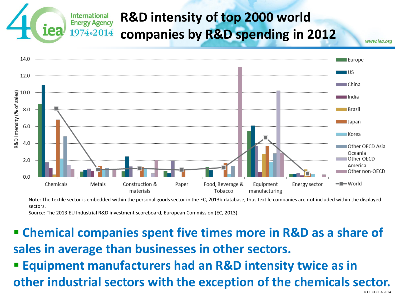#### **R&D intensity of top 2000 world International Energy Agency** 1974.2014 **companies by R&D spending in 2012**



Note: The textile sector is embedded within the personal goods sector in the EC, 2013b database, thus textile companies are not included within the displayed sectors.

Source: The 2013 EU Industrial R&D investment scoreboard, European Commission (EC, 2013).

 **Chemical companies spent five times more in R&D as a share of sales in average than businesses in other sectors. Equipment manufacturers had an R&D intensity twice as in other industrial sectors with the exception of the chemicals sector.**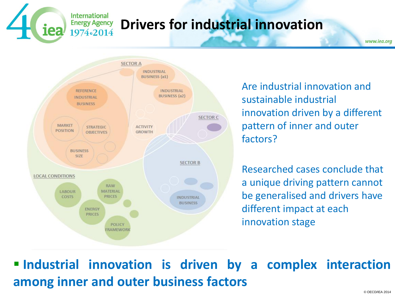## **Drivers for industrial innovation**

**SECTOR A INDUSTRIAL BUSINESS** (a1) **REFERENCE INDUSTRIAL BUSINESS** (a2) **INDUSTRIAL BUSINESS SECTOR C MARKET ACTIVITY STRATEGIC POSITION GROWTH OBJECTIVES BUSINESS** SIZE **SECTOR B LOCAL CONDITIONS RAW MATERIAL** LABOUR **COSTS PRICES INDUSTRIAL BUSINESS** ENERGY **PRICES POLICY** *FRAMEWORK* 

**International Energy Agency** 1974.2014

> Are industrial innovation and sustainable industrial innovation driven by a different pattern of inner and outer factors?

Researched cases conclude that a unique driving pattern cannot be generalised and drivers have different impact at each innovation stage

 **Industrial innovation is driven by a complex interaction among inner and outer business factors**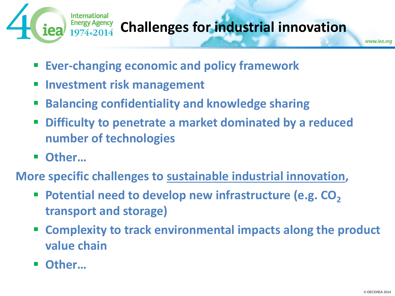

## **Challenges for industrial innovation**

- **Ever-changing economic and policy framework**
- **Investment risk management**
- **Balancing confidentiality and knowledge sharing**
- **Difficulty to penetrate a market dominated by a reduced number of technologies**
- Other...
- **More specific challenges to sustainable industrial innovation,**
	- Potential need to develop new infrastructure (e.g. CO<sub>2</sub> **transport and storage)**
	- **Complexity to track environmental impacts along the product value chain**
	- Other...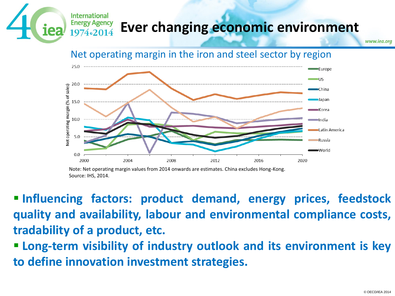### **Ever changing economic environment**

www.iea.org



**International Energy Agency** 1974.2014

 **Influencing factors: product demand, energy prices, feedstock quality and availability, labour and environmental compliance costs, tradability of a product, etc.**

 **Long-term visibility of industry outlook and its environment is key to define innovation investment strategies.**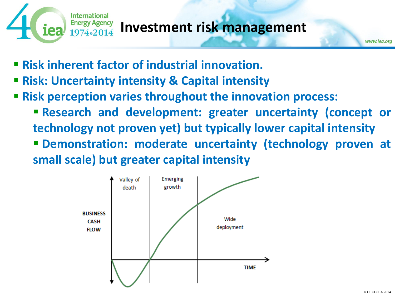

#### **Investment risk management**

- **Risk inherent factor of industrial innovation.**
- **Risk: Uncertainty intensity & Capital intensity**
- **Risk perception varies throughout the innovation process:**
	- **Research and development: greater uncertainty (concept or technology not proven yet) but typically lower capital intensity Demonstration: moderate uncertainty (technology proven at small scale) but greater capital intensity**

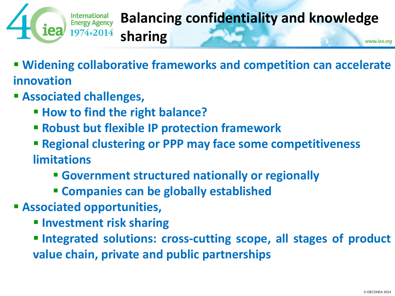

#### **Balancing confidentiality and knowledge sharing** www.iea.org

 **Widening collaborative frameworks and competition can accelerate innovation**

- **Associated challenges,**
	- **How to find the right balance?**
	- **Robust but flexible IP protection framework**
	- **Regional clustering or PPP may face some competitiveness limitations**
		- **Government structured nationally or regionally**
		- **Companies can be globally established**
- **Associated opportunities,**
	- **Investment risk sharing**
	- **Integrated solutions: cross-cutting scope, all stages of product value chain, private and public partnerships**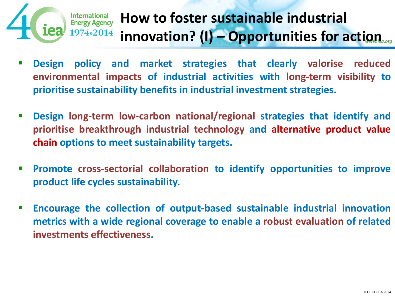

## **How to foster sustainable industrial innovation? (I) – Opportunities for action**

- **Design policy and market strategies that clearly valorise reduced environmental impacts of industrial activities with long-term visibility to prioritise sustainability benefits in industrial investment strategies.**
- **Design long-term low-carbon national/regional strategies that identify and prioritise breakthrough industrial technology and alternative product value chain options to meet sustainability targets.**
- **Promote cross-sectorial collaboration to identify opportunities to improve product life cycles sustainability.**
- **Encourage the collection of output-based sustainable industrial innovation metrics with a wide regional coverage to enable a robust evaluation of related investments effectiveness.**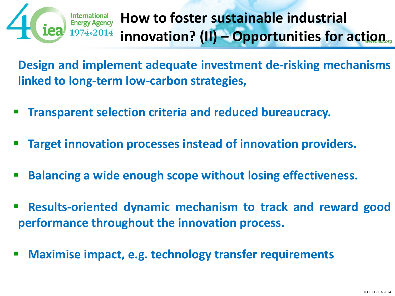

## **How to foster sustainable industrial innovation? (II) – Opportunities for action**

**Design and implement adequate investment de-risking mechanisms linked to long-term low-carbon strategies,**

- **Transparent selection criteria and reduced bureaucracy.**
- **Target innovation processes instead of innovation providers.**
- **Balancing a wide enough scope without losing effectiveness.**
- **Results-oriented dynamic mechanism to track and reward good performance throughout the innovation process.**
- **Maximise impact, e.g. technology transfer requirements**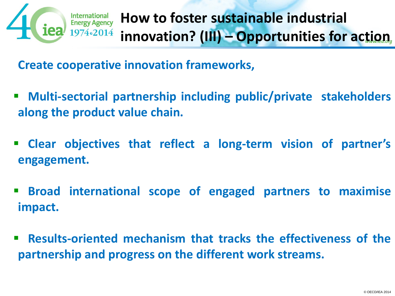

**Create cooperative innovation frameworks,**

- **Multi-sectorial partnership including public/private stakeholders along the product value chain.**
- **Clear objectives that reflect a long-term vision of partner's engagement.**
- **Broad international scope of engaged partners to maximise impact.**
- **Results-oriented mechanism that tracks the effectiveness of the partnership and progress on the different work streams.**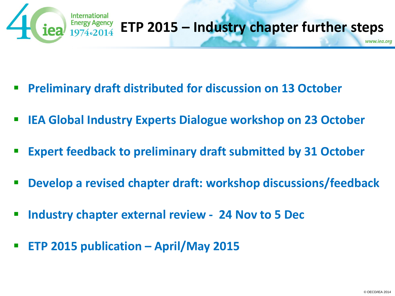

- **Preliminary draft distributed for discussion on 13 October**
- **IEA Global Industry Experts Dialogue workshop on 23 October**
- **Expert feedback to preliminary draft submitted by 31 October**
- **Develop a revised chapter draft: workshop discussions/feedback**
- **Industry chapter external review 24 Nov to 5 Dec**
- **ETP 2015 publication – April/May 2015**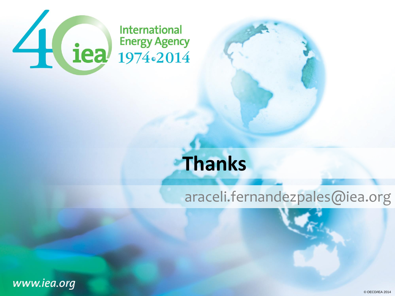

# **Thanks**

#### araceli.fernandezpales@iea.org

www.iea.org

© OECD/IEA 2014